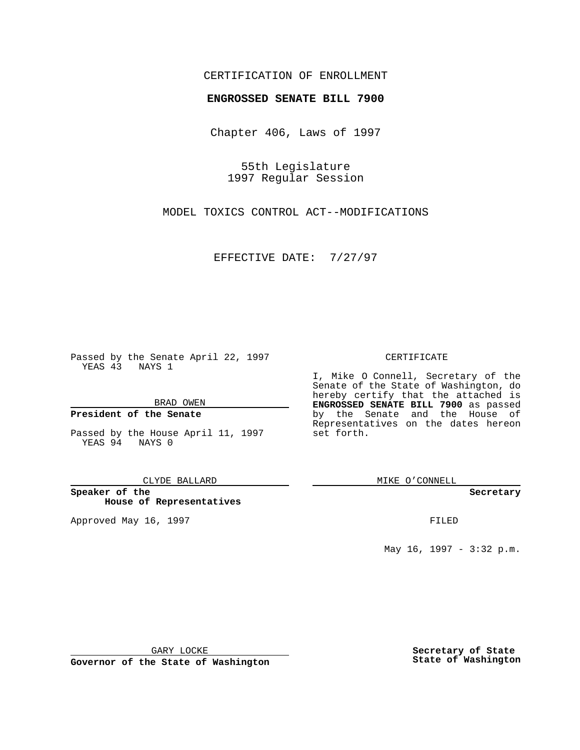## CERTIFICATION OF ENROLLMENT

# **ENGROSSED SENATE BILL 7900**

Chapter 406, Laws of 1997

55th Legislature 1997 Regular Session

MODEL TOXICS CONTROL ACT--MODIFICATIONS

EFFECTIVE DATE: 7/27/97

Passed by the Senate April 22, 1997 YEAS 43 NAYS 1

BRAD OWEN

### **President of the Senate**

Passed by the House April 11, 1997 YEAS 94 NAYS 0

CLYDE BALLARD

**Speaker of the House of Representatives**

Approved May 16, 1997 **FILED** 

CERTIFICATE

I, Mike O Connell, Secretary of the Senate of the State of Washington, do hereby certify that the attached is **ENGROSSED SENATE BILL 7900** as passed by the Senate and the House of Representatives on the dates hereon set forth.

MIKE O'CONNELL

#### **Secretary**

May 16, 1997 - 3:32 p.m.

GARY LOCKE

**Governor of the State of Washington**

**Secretary of State State of Washington**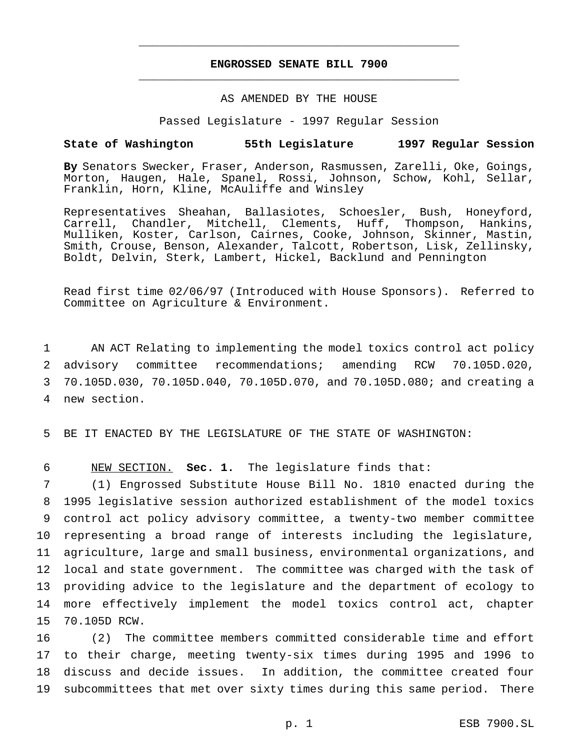## **ENGROSSED SENATE BILL 7900** \_\_\_\_\_\_\_\_\_\_\_\_\_\_\_\_\_\_\_\_\_\_\_\_\_\_\_\_\_\_\_\_\_\_\_\_\_\_\_\_\_\_\_\_\_\_\_

\_\_\_\_\_\_\_\_\_\_\_\_\_\_\_\_\_\_\_\_\_\_\_\_\_\_\_\_\_\_\_\_\_\_\_\_\_\_\_\_\_\_\_\_\_\_\_

### AS AMENDED BY THE HOUSE

Passed Legislature - 1997 Regular Session

### **State of Washington 55th Legislature 1997 Regular Session**

**By** Senators Swecker, Fraser, Anderson, Rasmussen, Zarelli, Oke, Goings, Morton, Haugen, Hale, Spanel, Rossi, Johnson, Schow, Kohl, Sellar, Franklin, Horn, Kline, McAuliffe and Winsley

Representatives Sheahan, Ballasiotes, Schoesler, Bush, Honeyford, Carrell, Chandler, Mitchell, Clements, Huff, Thompson, Hankins, Mulliken, Koster, Carlson, Cairnes, Cooke, Johnson, Skinner, Mastin, Smith, Crouse, Benson, Alexander, Talcott, Robertson, Lisk, Zellinsky, Boldt, Delvin, Sterk, Lambert, Hickel, Backlund and Pennington

Read first time 02/06/97 (Introduced with House Sponsors). Referred to Committee on Agriculture & Environment.

 AN ACT Relating to implementing the model toxics control act policy advisory committee recommendations; amending RCW 70.105D.020, 70.105D.030, 70.105D.040, 70.105D.070, and 70.105D.080; and creating a new section.

5 BE IT ENACTED BY THE LEGISLATURE OF THE STATE OF WASHINGTON:

6 NEW SECTION. **Sec. 1.** The legislature finds that:

 (1) Engrossed Substitute House Bill No. 1810 enacted during the 1995 legislative session authorized establishment of the model toxics control act policy advisory committee, a twenty-two member committee representing a broad range of interests including the legislature, agriculture, large and small business, environmental organizations, and local and state government. The committee was charged with the task of providing advice to the legislature and the department of ecology to more effectively implement the model toxics control act, chapter 70.105D RCW.

 (2) The committee members committed considerable time and effort to their charge, meeting twenty-six times during 1995 and 1996 to discuss and decide issues. In addition, the committee created four subcommittees that met over sixty times during this same period. There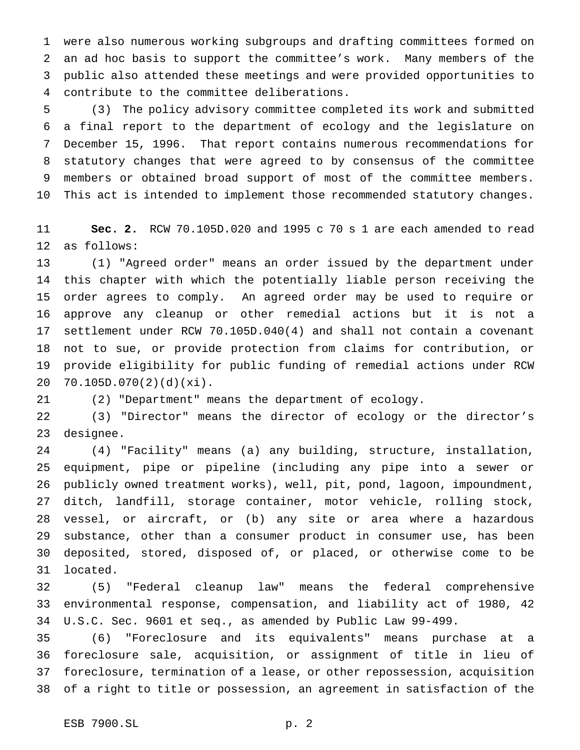were also numerous working subgroups and drafting committees formed on an ad hoc basis to support the committee's work. Many members of the public also attended these meetings and were provided opportunities to contribute to the committee deliberations.

 (3) The policy advisory committee completed its work and submitted a final report to the department of ecology and the legislature on December 15, 1996. That report contains numerous recommendations for statutory changes that were agreed to by consensus of the committee members or obtained broad support of most of the committee members. This act is intended to implement those recommended statutory changes.

 **Sec. 2.** RCW 70.105D.020 and 1995 c 70 s 1 are each amended to read as follows:

 (1) "Agreed order" means an order issued by the department under this chapter with which the potentially liable person receiving the order agrees to comply. An agreed order may be used to require or approve any cleanup or other remedial actions but it is not a settlement under RCW 70.105D.040(4) and shall not contain a covenant not to sue, or provide protection from claims for contribution, or provide eligibility for public funding of remedial actions under RCW 70.105D.070(2)(d)(xi).

(2) "Department" means the department of ecology.

 (3) "Director" means the director of ecology or the director's designee.

 (4) "Facility" means (a) any building, structure, installation, equipment, pipe or pipeline (including any pipe into a sewer or publicly owned treatment works), well, pit, pond, lagoon, impoundment, ditch, landfill, storage container, motor vehicle, rolling stock, vessel, or aircraft, or (b) any site or area where a hazardous substance, other than a consumer product in consumer use, has been deposited, stored, disposed of, or placed, or otherwise come to be located.

 (5) "Federal cleanup law" means the federal comprehensive environmental response, compensation, and liability act of 1980, 42 U.S.C. Sec. 9601 et seq., as amended by Public Law 99-499.

 (6) "Foreclosure and its equivalents" means purchase at a foreclosure sale, acquisition, or assignment of title in lieu of foreclosure, termination of a lease, or other repossession, acquisition of a right to title or possession, an agreement in satisfaction of the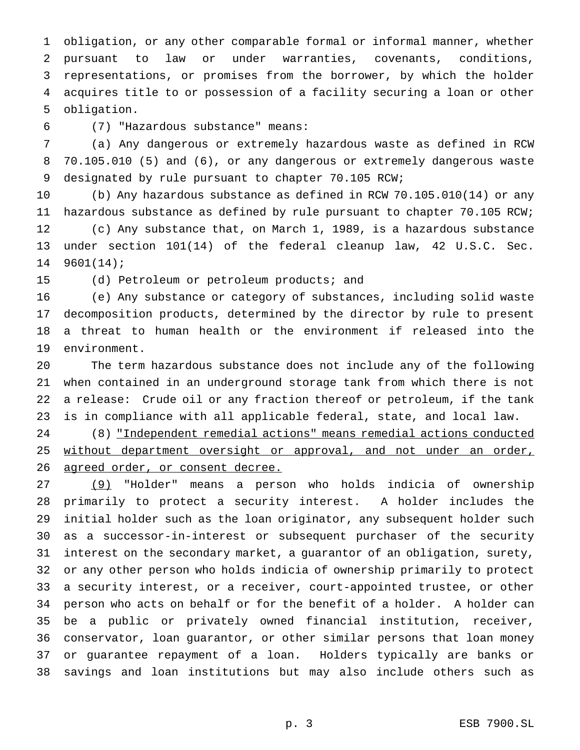obligation, or any other comparable formal or informal manner, whether pursuant to law or under warranties, covenants, conditions, representations, or promises from the borrower, by which the holder acquires title to or possession of a facility securing a loan or other obligation.

(7) "Hazardous substance" means:

 (a) Any dangerous or extremely hazardous waste as defined in RCW 70.105.010 (5) and (6), or any dangerous or extremely dangerous waste designated by rule pursuant to chapter 70.105 RCW;

 (b) Any hazardous substance as defined in RCW 70.105.010(14) or any hazardous substance as defined by rule pursuant to chapter 70.105 RCW; (c) Any substance that, on March 1, 1989, is a hazardous substance under section 101(14) of the federal cleanup law, 42 U.S.C. Sec. 9601(14);

(d) Petroleum or petroleum products; and

 (e) Any substance or category of substances, including solid waste decomposition products, determined by the director by rule to present a threat to human health or the environment if released into the environment.

 The term hazardous substance does not include any of the following when contained in an underground storage tank from which there is not a release: Crude oil or any fraction thereof or petroleum, if the tank is in compliance with all applicable federal, state, and local law.

 (8) "Independent remedial actions" means remedial actions conducted 25 without department oversight or approval, and not under an order, 26 agreed order, or consent decree.

 (9) "Holder" means a person who holds indicia of ownership primarily to protect a security interest. A holder includes the initial holder such as the loan originator, any subsequent holder such as a successor-in-interest or subsequent purchaser of the security interest on the secondary market, a guarantor of an obligation, surety, or any other person who holds indicia of ownership primarily to protect a security interest, or a receiver, court-appointed trustee, or other person who acts on behalf or for the benefit of a holder. A holder can be a public or privately owned financial institution, receiver, conservator, loan guarantor, or other similar persons that loan money or guarantee repayment of a loan. Holders typically are banks or savings and loan institutions but may also include others such as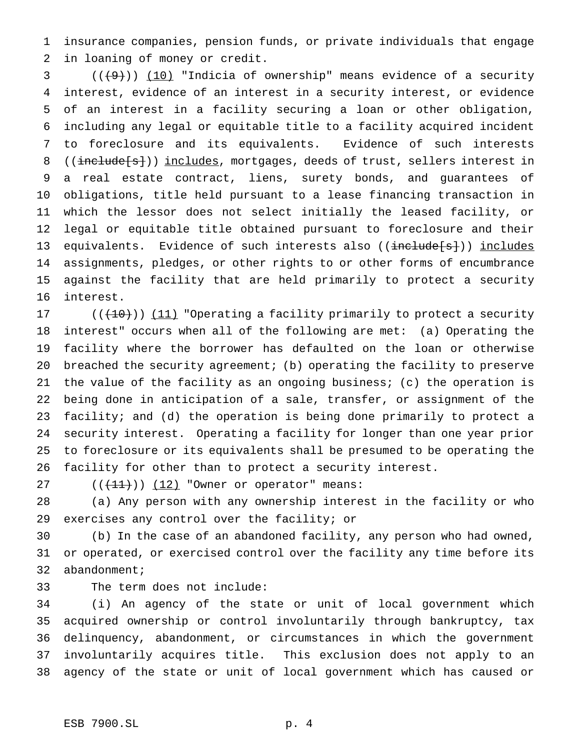insurance companies, pension funds, or private individuals that engage in loaning of money or credit.

 ( $(\frac{49}{10})$  "Indicia of ownership" means evidence of a security interest, evidence of an interest in a security interest, or evidence of an interest in a facility securing a loan or other obligation, including any legal or equitable title to a facility acquired incident to foreclosure and its equivalents. Evidence of such interests 8 ((include[s])) includes, mortgages, deeds of trust, sellers interest in a real estate contract, liens, surety bonds, and guarantees of obligations, title held pursuant to a lease financing transaction in which the lessor does not select initially the leased facility, or legal or equitable title obtained pursuant to foreclosure and their 13 equivalents. Evidence of such interests also ((include[s])) includes assignments, pledges, or other rights to or other forms of encumbrance against the facility that are held primarily to protect a security interest.

 $((+10))$   $(11)$  "Operating a facility primarily to protect a security interest" occurs when all of the following are met: (a) Operating the facility where the borrower has defaulted on the loan or otherwise breached the security agreement; (b) operating the facility to preserve the value of the facility as an ongoing business; (c) the operation is being done in anticipation of a sale, transfer, or assignment of the facility; and (d) the operation is being done primarily to protect a security interest. Operating a facility for longer than one year prior to foreclosure or its equivalents shall be presumed to be operating the facility for other than to protect a security interest.

27  $((+11))$   $(12)$  "Owner or operator" means:

 (a) Any person with any ownership interest in the facility or who exercises any control over the facility; or

 (b) In the case of an abandoned facility, any person who had owned, or operated, or exercised control over the facility any time before its abandonment;

The term does not include:

 (i) An agency of the state or unit of local government which acquired ownership or control involuntarily through bankruptcy, tax delinquency, abandonment, or circumstances in which the government involuntarily acquires title. This exclusion does not apply to an agency of the state or unit of local government which has caused or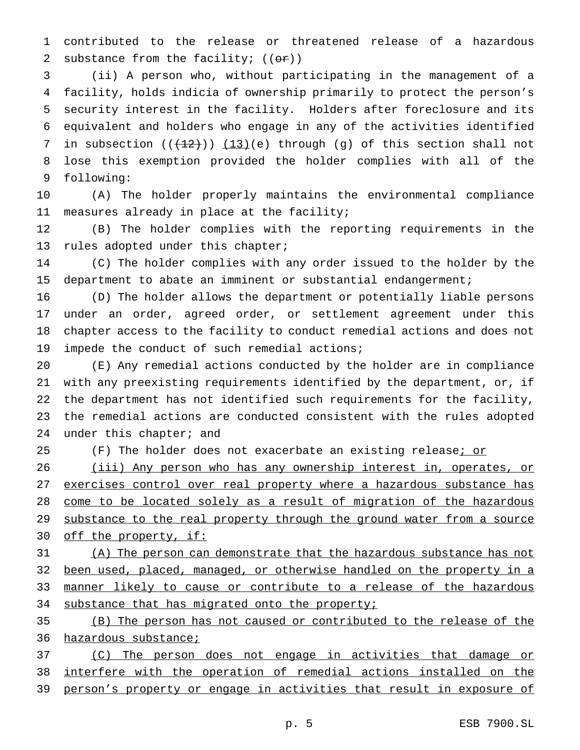contributed to the release or threatened release of a hazardous 2 substance from the facility;  $((\theta \cdot \mathbf{r}))$ 

 (ii) A person who, without participating in the management of a facility, holds indicia of ownership primarily to protect the person's security interest in the facility. Holders after foreclosure and its equivalent and holders who engage in any of the activities identified 7 in subsection  $((+12))$   $(13)(e)$  through (g) of this section shall not lose this exemption provided the holder complies with all of the following:

 (A) The holder properly maintains the environmental compliance measures already in place at the facility;

 (B) The holder complies with the reporting requirements in the rules adopted under this chapter;

 (C) The holder complies with any order issued to the holder by the department to abate an imminent or substantial endangerment;

 (D) The holder allows the department or potentially liable persons under an order, agreed order, or settlement agreement under this chapter access to the facility to conduct remedial actions and does not impede the conduct of such remedial actions;

 (E) Any remedial actions conducted by the holder are in compliance with any preexisting requirements identified by the department, or, if the department has not identified such requirements for the facility, the remedial actions are conducted consistent with the rules adopted 24 under this chapter; and

25 (F) The holder does not exacerbate an existing release<u>; or</u>

 (iii) Any person who has any ownership interest in, operates, or 27 exercises control over real property where a hazardous substance has 28 come to be located solely as a result of migration of the hazardous 29 substance to the real property through the ground water from a source 30 off the property, if:

 (A) The person can demonstrate that the hazardous substance has not been used, placed, managed, or otherwise handled on the property in a 33 manner likely to cause or contribute to a release of the hazardous 34 substance that has migrated onto the property;

 (B) The person has not caused or contributed to the release of the 36 hazardous substance;

 (C) The person does not engage in activities that damage or interfere with the operation of remedial actions installed on the person's property or engage in activities that result in exposure of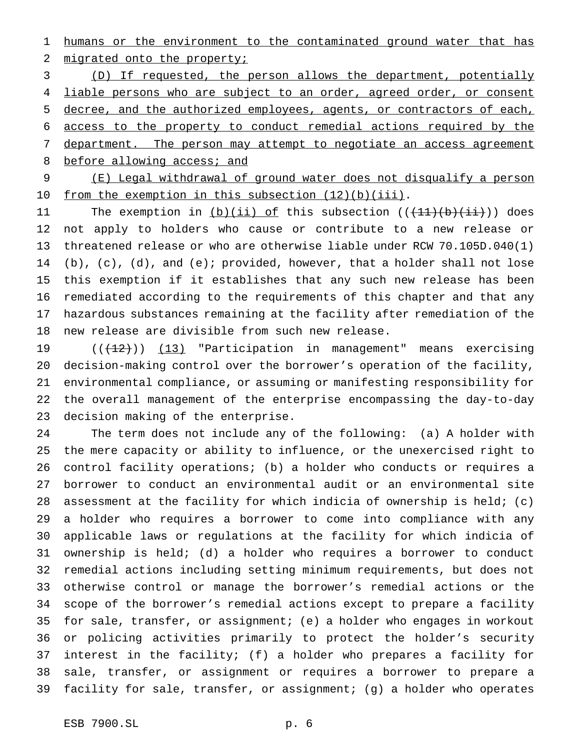1 humans or the environment to the contaminated ground water that has 2 migrated onto the property;

 (D) If requested, the person allows the department, potentially 4 liable persons who are subject to an order, agreed order, or consent decree, and the authorized employees, agents, or contractors of each, access to the property to conduct remedial actions required by the 7 department. The person may attempt to negotiate an access agreement 8 before allowing access; and

 (E) Legal withdrawal of ground water does not disqualify a person 10 from the exemption in this subsection (12)(b)(iii).

11 The exemption in  $(b)(ii)$  of this subsection  $((+11)+(b)+(ii))$  does not apply to holders who cause or contribute to a new release or threatened release or who are otherwise liable under RCW 70.105D.040(1) (b), (c), (d), and (e); provided, however, that a holder shall not lose this exemption if it establishes that any such new release has been remediated according to the requirements of this chapter and that any hazardous substances remaining at the facility after remediation of the new release are divisible from such new release.

19 ((<del>(12)</del>)) (13) "Participation in management" means exercising decision-making control over the borrower's operation of the facility, environmental compliance, or assuming or manifesting responsibility for the overall management of the enterprise encompassing the day-to-day decision making of the enterprise.

 The term does not include any of the following: (a) A holder with the mere capacity or ability to influence, or the unexercised right to control facility operations; (b) a holder who conducts or requires a borrower to conduct an environmental audit or an environmental site assessment at the facility for which indicia of ownership is held; (c) a holder who requires a borrower to come into compliance with any applicable laws or regulations at the facility for which indicia of ownership is held; (d) a holder who requires a borrower to conduct remedial actions including setting minimum requirements, but does not otherwise control or manage the borrower's remedial actions or the scope of the borrower's remedial actions except to prepare a facility for sale, transfer, or assignment; (e) a holder who engages in workout or policing activities primarily to protect the holder's security interest in the facility; (f) a holder who prepares a facility for sale, transfer, or assignment or requires a borrower to prepare a facility for sale, transfer, or assignment; (g) a holder who operates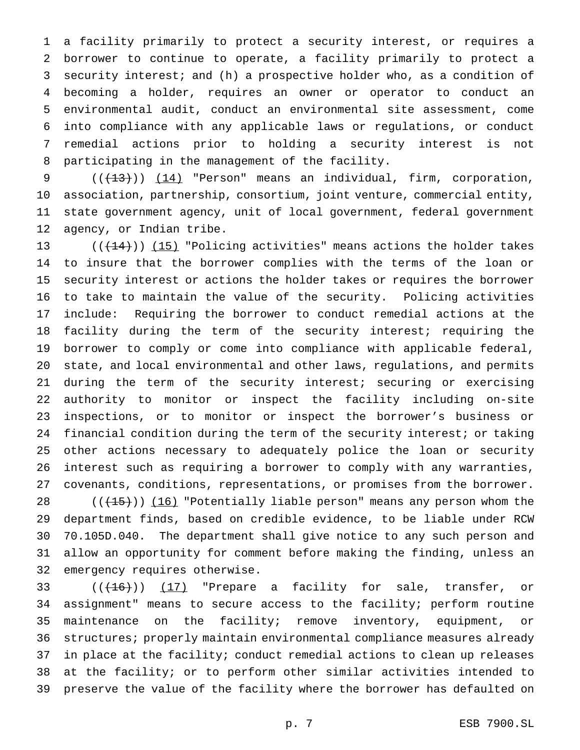a facility primarily to protect a security interest, or requires a borrower to continue to operate, a facility primarily to protect a security interest; and (h) a prospective holder who, as a condition of becoming a holder, requires an owner or operator to conduct an environmental audit, conduct an environmental site assessment, come into compliance with any applicable laws or regulations, or conduct remedial actions prior to holding a security interest is not participating in the management of the facility.

 $((+13))$   $(14)$  "Person" means an individual, firm, corporation, association, partnership, consortium, joint venture, commercial entity, state government agency, unit of local government, federal government agency, or Indian tribe.

 $((+14))$  (15) "Policing activities" means actions the holder takes to insure that the borrower complies with the terms of the loan or security interest or actions the holder takes or requires the borrower to take to maintain the value of the security. Policing activities include: Requiring the borrower to conduct remedial actions at the facility during the term of the security interest; requiring the borrower to comply or come into compliance with applicable federal, state, and local environmental and other laws, regulations, and permits during the term of the security interest; securing or exercising authority to monitor or inspect the facility including on-site inspections, or to monitor or inspect the borrower's business or financial condition during the term of the security interest; or taking other actions necessary to adequately police the loan or security interest such as requiring a borrower to comply with any warranties, covenants, conditions, representations, or promises from the borrower.

 $((+15))$   $(16)$  "Potentially liable person" means any person whom the department finds, based on credible evidence, to be liable under RCW 70.105D.040. The department shall give notice to any such person and allow an opportunity for comment before making the finding, unless an emergency requires otherwise.

33 ((<del>(16)</del>)) <u>(17)</u> "Prepare a facility for sale, transfer, or assignment" means to secure access to the facility; perform routine maintenance on the facility; remove inventory, equipment, or structures; properly maintain environmental compliance measures already in place at the facility; conduct remedial actions to clean up releases at the facility; or to perform other similar activities intended to preserve the value of the facility where the borrower has defaulted on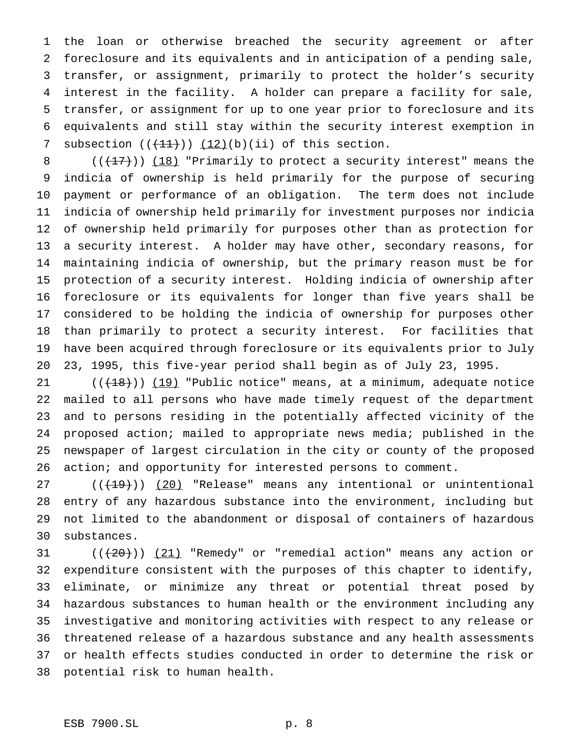the loan or otherwise breached the security agreement or after foreclosure and its equivalents and in anticipation of a pending sale, transfer, or assignment, primarily to protect the holder's security interest in the facility. A holder can prepare a facility for sale, transfer, or assignment for up to one year prior to foreclosure and its equivalents and still stay within the security interest exemption in 7 subsection  $((+11))$   $(12)(b)(ii)$  of this section.

 $((+17))$   $(18)$  "Primarily to protect a security interest" means the indicia of ownership is held primarily for the purpose of securing payment or performance of an obligation. The term does not include indicia of ownership held primarily for investment purposes nor indicia of ownership held primarily for purposes other than as protection for a security interest. A holder may have other, secondary reasons, for maintaining indicia of ownership, but the primary reason must be for protection of a security interest. Holding indicia of ownership after foreclosure or its equivalents for longer than five years shall be considered to be holding the indicia of ownership for purposes other than primarily to protect a security interest. For facilities that have been acquired through foreclosure or its equivalents prior to July 23, 1995, this five-year period shall begin as of July 23, 1995.

 $((+18))$   $(19)$  "Public notice" means, at a minimum, adequate notice mailed to all persons who have made timely request of the department and to persons residing in the potentially affected vicinity of the proposed action; mailed to appropriate news media; published in the newspaper of largest circulation in the city or county of the proposed 26 action; and opportunity for interested persons to comment.

27 (((19))) (20) "Release" means any intentional or unintentional entry of any hazardous substance into the environment, including but not limited to the abandonment or disposal of containers of hazardous substances.

 $((+20))$   $(21)$  "Remedy" or "remedial action" means any action or expenditure consistent with the purposes of this chapter to identify, eliminate, or minimize any threat or potential threat posed by hazardous substances to human health or the environment including any investigative and monitoring activities with respect to any release or threatened release of a hazardous substance and any health assessments or health effects studies conducted in order to determine the risk or potential risk to human health.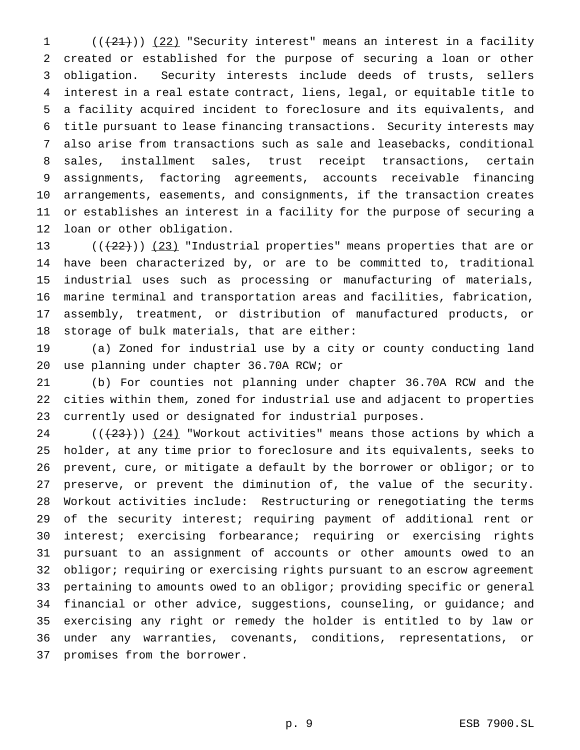$((+21))$   $(22)$  "Security interest" means an interest in a facility created or established for the purpose of securing a loan or other obligation. Security interests include deeds of trusts, sellers interest in a real estate contract, liens, legal, or equitable title to a facility acquired incident to foreclosure and its equivalents, and title pursuant to lease financing transactions. Security interests may also arise from transactions such as sale and leasebacks, conditional sales, installment sales, trust receipt transactions, certain assignments, factoring agreements, accounts receivable financing arrangements, easements, and consignments, if the transaction creates or establishes an interest in a facility for the purpose of securing a loan or other obligation.

13 ( $(\frac{22}{2})$ ) (23) "Industrial properties" means properties that are or have been characterized by, or are to be committed to, traditional industrial uses such as processing or manufacturing of materials, marine terminal and transportation areas and facilities, fabrication, assembly, treatment, or distribution of manufactured products, or storage of bulk materials, that are either:

 (a) Zoned for industrial use by a city or county conducting land use planning under chapter 36.70A RCW; or

 (b) For counties not planning under chapter 36.70A RCW and the cities within them, zoned for industrial use and adjacent to properties currently used or designated for industrial purposes.

24 ( $(\frac{23}{})$ ) (24) "Workout activities" means those actions by which a holder, at any time prior to foreclosure and its equivalents, seeks to prevent, cure, or mitigate a default by the borrower or obligor; or to preserve, or prevent the diminution of, the value of the security. Workout activities include: Restructuring or renegotiating the terms of the security interest; requiring payment of additional rent or interest; exercising forbearance; requiring or exercising rights pursuant to an assignment of accounts or other amounts owed to an obligor; requiring or exercising rights pursuant to an escrow agreement pertaining to amounts owed to an obligor; providing specific or general financial or other advice, suggestions, counseling, or guidance; and exercising any right or remedy the holder is entitled to by law or under any warranties, covenants, conditions, representations, or promises from the borrower.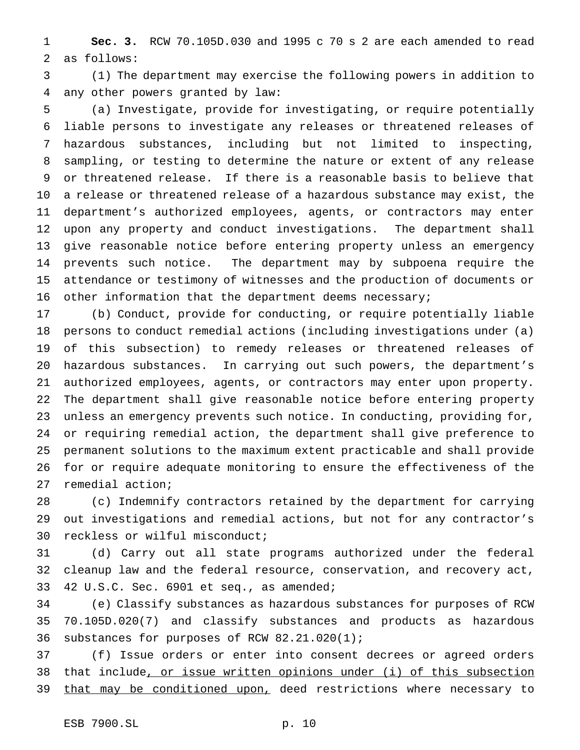**Sec. 3.** RCW 70.105D.030 and 1995 c 70 s 2 are each amended to read as follows:

 (1) The department may exercise the following powers in addition to any other powers granted by law:

 (a) Investigate, provide for investigating, or require potentially liable persons to investigate any releases or threatened releases of hazardous substances, including but not limited to inspecting, sampling, or testing to determine the nature or extent of any release or threatened release. If there is a reasonable basis to believe that a release or threatened release of a hazardous substance may exist, the department's authorized employees, agents, or contractors may enter upon any property and conduct investigations. The department shall give reasonable notice before entering property unless an emergency prevents such notice. The department may by subpoena require the attendance or testimony of witnesses and the production of documents or 16 other information that the department deems necessary;

 (b) Conduct, provide for conducting, or require potentially liable persons to conduct remedial actions (including investigations under (a) of this subsection) to remedy releases or threatened releases of hazardous substances. In carrying out such powers, the department's authorized employees, agents, or contractors may enter upon property. The department shall give reasonable notice before entering property unless an emergency prevents such notice. In conducting, providing for, or requiring remedial action, the department shall give preference to permanent solutions to the maximum extent practicable and shall provide for or require adequate monitoring to ensure the effectiveness of the remedial action;

 (c) Indemnify contractors retained by the department for carrying out investigations and remedial actions, but not for any contractor's reckless or wilful misconduct;

 (d) Carry out all state programs authorized under the federal cleanup law and the federal resource, conservation, and recovery act, 42 U.S.C. Sec. 6901 et seq., as amended;

 (e) Classify substances as hazardous substances for purposes of RCW 70.105D.020(7) and classify substances and products as hazardous substances for purposes of RCW 82.21.020(1);

 (f) Issue orders or enter into consent decrees or agreed orders 38 that include, or issue written opinions under (i) of this subsection 39 that may be conditioned upon, deed restrictions where necessary to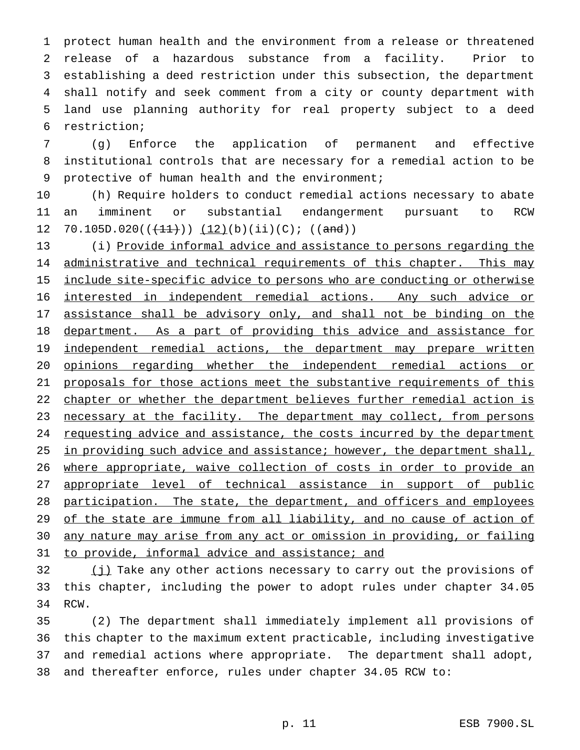protect human health and the environment from a release or threatened release of a hazardous substance from a facility. Prior to establishing a deed restriction under this subsection, the department shall notify and seek comment from a city or county department with land use planning authority for real property subject to a deed restriction;

7 (g) Enforce the application of permanent and effective 8 institutional controls that are necessary for a remedial action to be 9 protective of human health and the environment;

10 (h) Require holders to conduct remedial actions necessary to abate 11 an imminent or substantial endangerment pursuant to RCW 12 70.105D.020( $(\frac{11}{1})$ )  $(12)(b)(ii)(c);$  ((and))

13 (i) Provide informal advice and assistance to persons regarding the 14 administrative and technical requirements of this chapter. This may 15 include site-specific advice to persons who are conducting or otherwise 16 interested in independent remedial actions. Any such advice or 17 assistance shall be advisory only, and shall not be binding on the 18 department. As a part of providing this advice and assistance for 19 independent remedial actions, the department may prepare written 20 opinions regarding whether the independent remedial actions or 21 proposals for those actions meet the substantive requirements of this 22 chapter or whether the department believes further remedial action is 23 necessary at the facility. The department may collect, from persons 24 requesting advice and assistance, the costs incurred by the department 25 in providing such advice and assistance; however, the department shall, 26 where appropriate, waive collection of costs in order to provide an 27 appropriate level of technical assistance in support of public 28 participation. The state, the department, and officers and employees 29 of the state are immune from all liability, and no cause of action of 30 any nature may arise from any act or omission in providing, or failing 31 to provide, informal advice and assistance; and

32 (j) Take any other actions necessary to carry out the provisions of 33 this chapter, including the power to adopt rules under chapter 34.05 34 RCW.

 (2) The department shall immediately implement all provisions of this chapter to the maximum extent practicable, including investigative and remedial actions where appropriate. The department shall adopt, and thereafter enforce, rules under chapter 34.05 RCW to: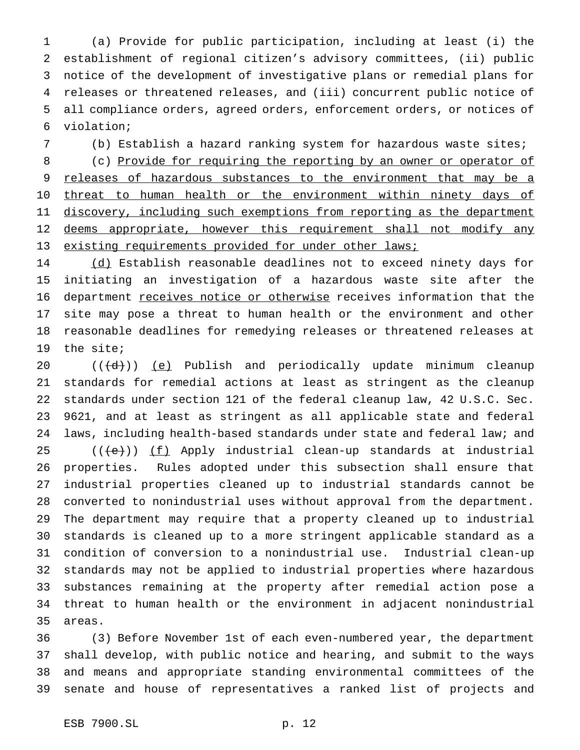(a) Provide for public participation, including at least (i) the establishment of regional citizen's advisory committees, (ii) public notice of the development of investigative plans or remedial plans for releases or threatened releases, and (iii) concurrent public notice of all compliance orders, agreed orders, enforcement orders, or notices of violation;

(b) Establish a hazard ranking system for hazardous waste sites;

8 (c) Provide for requiring the reporting by an owner or operator of 9 releases of hazardous substances to the environment that may be a 10 threat to human health or the environment within ninety days of 11 discovery, including such exemptions from reporting as the department 12 deems appropriate, however this requirement shall not modify any 13 existing requirements provided for under other laws;

14 (d) Establish reasonable deadlines not to exceed ninety days for initiating an investigation of a hazardous waste site after the 16 department receives notice or otherwise receives information that the site may pose a threat to human health or the environment and other reasonable deadlines for remedying releases or threatened releases at the site;

 $((\{d\})$  (e) Publish and periodically update minimum cleanup standards for remedial actions at least as stringent as the cleanup standards under section 121 of the federal cleanup law, 42 U.S.C. Sec. 9621, and at least as stringent as all applicable state and federal laws, including health-based standards under state and federal law; and (( $\left(\frac{1}{12}\right)$ ) (f) Apply industrial clean-up standards at industrial properties. Rules adopted under this subsection shall ensure that industrial properties cleaned up to industrial standards cannot be converted to nonindustrial uses without approval from the department. The department may require that a property cleaned up to industrial standards is cleaned up to a more stringent applicable standard as a condition of conversion to a nonindustrial use. Industrial clean-up standards may not be applied to industrial properties where hazardous substances remaining at the property after remedial action pose a threat to human health or the environment in adjacent nonindustrial areas.

 (3) Before November 1st of each even-numbered year, the department shall develop, with public notice and hearing, and submit to the ways and means and appropriate standing environmental committees of the senate and house of representatives a ranked list of projects and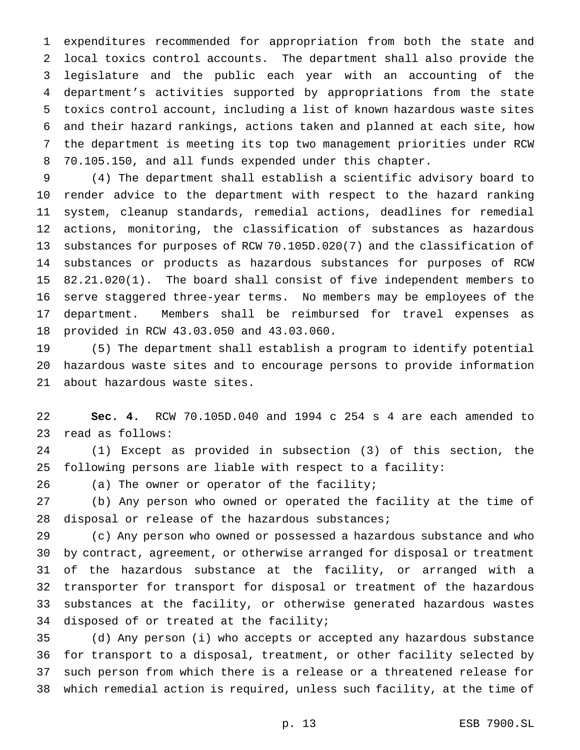expenditures recommended for appropriation from both the state and local toxics control accounts. The department shall also provide the legislature and the public each year with an accounting of the department's activities supported by appropriations from the state toxics control account, including a list of known hazardous waste sites and their hazard rankings, actions taken and planned at each site, how the department is meeting its top two management priorities under RCW 70.105.150, and all funds expended under this chapter.

 (4) The department shall establish a scientific advisory board to render advice to the department with respect to the hazard ranking system, cleanup standards, remedial actions, deadlines for remedial actions, monitoring, the classification of substances as hazardous substances for purposes of RCW 70.105D.020(7) and the classification of substances or products as hazardous substances for purposes of RCW 82.21.020(1). The board shall consist of five independent members to serve staggered three-year terms. No members may be employees of the department. Members shall be reimbursed for travel expenses as provided in RCW 43.03.050 and 43.03.060.

 (5) The department shall establish a program to identify potential hazardous waste sites and to encourage persons to provide information about hazardous waste sites.

 **Sec. 4.** RCW 70.105D.040 and 1994 c 254 s 4 are each amended to read as follows:

 (1) Except as provided in subsection (3) of this section, the following persons are liable with respect to a facility:

(a) The owner or operator of the facility;

 (b) Any person who owned or operated the facility at the time of 28 disposal or release of the hazardous substances;

 (c) Any person who owned or possessed a hazardous substance and who by contract, agreement, or otherwise arranged for disposal or treatment of the hazardous substance at the facility, or arranged with a transporter for transport for disposal or treatment of the hazardous substances at the facility, or otherwise generated hazardous wastes disposed of or treated at the facility;

 (d) Any person (i) who accepts or accepted any hazardous substance for transport to a disposal, treatment, or other facility selected by such person from which there is a release or a threatened release for which remedial action is required, unless such facility, at the time of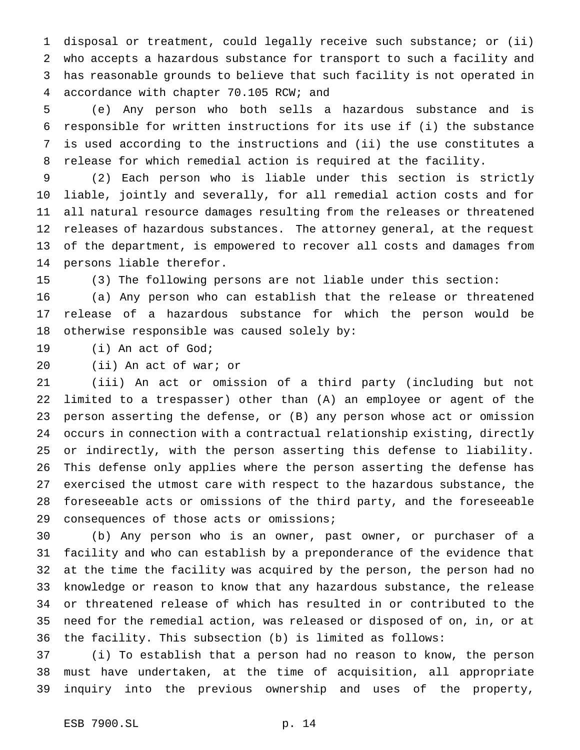disposal or treatment, could legally receive such substance; or (ii) who accepts a hazardous substance for transport to such a facility and has reasonable grounds to believe that such facility is not operated in accordance with chapter 70.105 RCW; and

 (e) Any person who both sells a hazardous substance and is responsible for written instructions for its use if (i) the substance is used according to the instructions and (ii) the use constitutes a release for which remedial action is required at the facility.

 (2) Each person who is liable under this section is strictly liable, jointly and severally, for all remedial action costs and for all natural resource damages resulting from the releases or threatened releases of hazardous substances. The attorney general, at the request of the department, is empowered to recover all costs and damages from persons liable therefor.

(3) The following persons are not liable under this section:

 (a) Any person who can establish that the release or threatened release of a hazardous substance for which the person would be otherwise responsible was caused solely by:

(i) An act of God;

(ii) An act of war; or

 (iii) An act or omission of a third party (including but not limited to a trespasser) other than (A) an employee or agent of the person asserting the defense, or (B) any person whose act or omission occurs in connection with a contractual relationship existing, directly or indirectly, with the person asserting this defense to liability. This defense only applies where the person asserting the defense has exercised the utmost care with respect to the hazardous substance, the foreseeable acts or omissions of the third party, and the foreseeable consequences of those acts or omissions;

 (b) Any person who is an owner, past owner, or purchaser of a facility and who can establish by a preponderance of the evidence that at the time the facility was acquired by the person, the person had no knowledge or reason to know that any hazardous substance, the release or threatened release of which has resulted in or contributed to the need for the remedial action, was released or disposed of on, in, or at the facility. This subsection (b) is limited as follows:

 (i) To establish that a person had no reason to know, the person must have undertaken, at the time of acquisition, all appropriate inquiry into the previous ownership and uses of the property,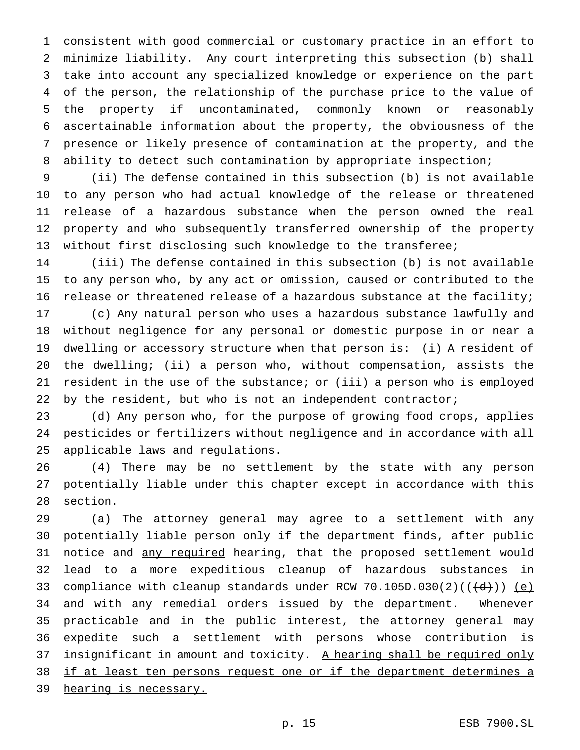consistent with good commercial or customary practice in an effort to minimize liability. Any court interpreting this subsection (b) shall take into account any specialized knowledge or experience on the part of the person, the relationship of the purchase price to the value of the property if uncontaminated, commonly known or reasonably ascertainable information about the property, the obviousness of the presence or likely presence of contamination at the property, and the ability to detect such contamination by appropriate inspection;

 (ii) The defense contained in this subsection (b) is not available to any person who had actual knowledge of the release or threatened release of a hazardous substance when the person owned the real property and who subsequently transferred ownership of the property without first disclosing such knowledge to the transferee;

 (iii) The defense contained in this subsection (b) is not available to any person who, by any act or omission, caused or contributed to the release or threatened release of a hazardous substance at the facility; (c) Any natural person who uses a hazardous substance lawfully and without negligence for any personal or domestic purpose in or near a

 dwelling or accessory structure when that person is: (i) A resident of the dwelling; (ii) a person who, without compensation, assists the resident in the use of the substance; or (iii) a person who is employed by the resident, but who is not an independent contractor;

 (d) Any person who, for the purpose of growing food crops, applies pesticides or fertilizers without negligence and in accordance with all applicable laws and regulations.

 (4) There may be no settlement by the state with any person potentially liable under this chapter except in accordance with this section.

 (a) The attorney general may agree to a settlement with any potentially liable person only if the department finds, after public 31 notice and any required hearing, that the proposed settlement would lead to a more expeditious cleanup of hazardous substances in 33 compliance with cleanup standards under RCW  $70.105D.030(2)((\{\d{d}\}))(e)$  and with any remedial orders issued by the department. Whenever practicable and in the public interest, the attorney general may expedite such a settlement with persons whose contribution is 37 insignificant in amount and toxicity. A hearing shall be required only if at least ten persons request one or if the department determines a hearing is necessary.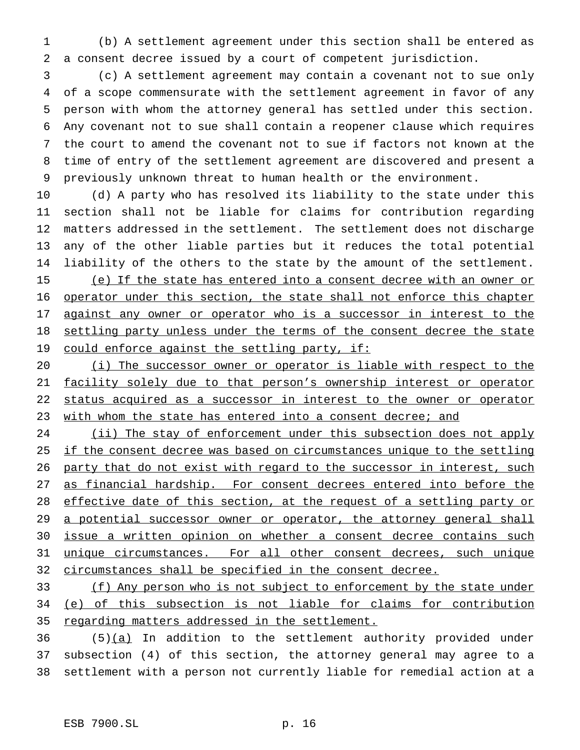(b) A settlement agreement under this section shall be entered as a consent decree issued by a court of competent jurisdiction.

 (c) A settlement agreement may contain a covenant not to sue only of a scope commensurate with the settlement agreement in favor of any person with whom the attorney general has settled under this section. Any covenant not to sue shall contain a reopener clause which requires the court to amend the covenant not to sue if factors not known at the time of entry of the settlement agreement are discovered and present a previously unknown threat to human health or the environment.

 (d) A party who has resolved its liability to the state under this section shall not be liable for claims for contribution regarding matters addressed in the settlement. The settlement does not discharge any of the other liable parties but it reduces the total potential liability of the others to the state by the amount of the settlement. (e) If the state has entered into a consent decree with an owner or operator under this section, the state shall not enforce this chapter 17 against any owner or operator who is a successor in interest to the 18 settling party unless under the terms of the consent decree the state 19 could enforce against the settling party, if:

 (i) The successor owner or operator is liable with respect to the 21 facility solely due to that person's ownership interest or operator status acquired as a successor in interest to the owner or operator 23 with whom the state has entered into a consent decree; and

24 (ii) The stay of enforcement under this subsection does not apply 25 if the consent decree was based on circumstances unique to the settling 26 party that do not exist with regard to the successor in interest, such 27 as financial hardship. For consent decrees entered into before the 28 effective date of this section, at the request of a settling party or 29 a potential successor owner or operator, the attorney general shall issue a written opinion on whether a consent decree contains such unique circumstances. For all other consent decrees, such unique circumstances shall be specified in the consent decree.

 (f) Any person who is not subject to enforcement by the state under (e) of this subsection is not liable for claims for contribution regarding matters addressed in the settlement.

 (5) $(a)$  In addition to the settlement authority provided under subsection (4) of this section, the attorney general may agree to a settlement with a person not currently liable for remedial action at a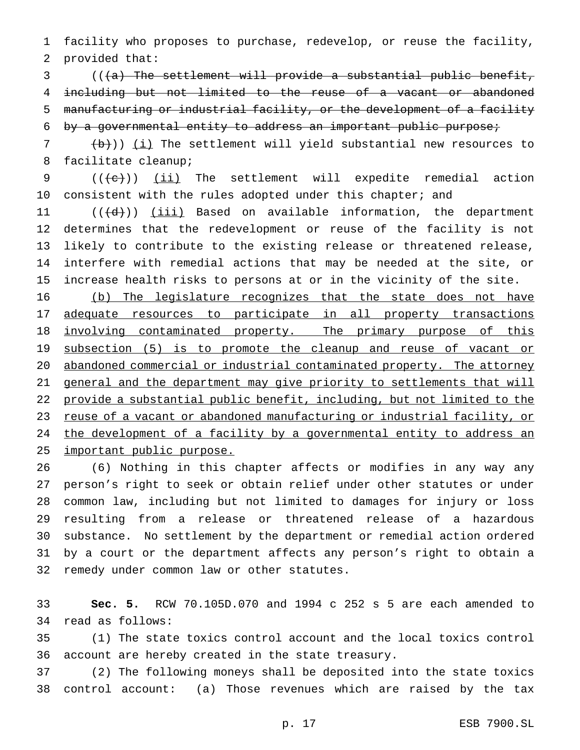facility who proposes to purchase, redevelop, or reuse the facility, provided that:

3 (((a) The settlement will provide a substantial public benefit, including but not limited to the reuse of a vacant or abandoned manufacturing or industrial facility, or the development of a facility by a governmental entity to address an important public purpose;

  $(\frac{b}{b})$ ) (i) The settlement will yield substantial new resources to facilitate cleanup;

  $((+e))$   $(ii)$  The settlement will expedite remedial action 10 consistent with the rules adopted under this chapter; and

 $((\{d\})$  <u>(iii)</u> Based on available information, the department determines that the redevelopment or reuse of the facility is not likely to contribute to the existing release or threatened release, interfere with remedial actions that may be needed at the site, or increase health risks to persons at or in the vicinity of the site.

 (b) The legislature recognizes that the state does not have adequate resources to participate in all property transactions 18 involving contaminated property. The primary purpose of this 19 subsection (5) is to promote the cleanup and reuse of vacant or abandoned commercial or industrial contaminated property. The attorney general and the department may give priority to settlements that will provide a substantial public benefit, including, but not limited to the 23 reuse of a vacant or abandoned manufacturing or industrial facility, or the development of a facility by a governmental entity to address an important public purpose.

 (6) Nothing in this chapter affects or modifies in any way any person's right to seek or obtain relief under other statutes or under common law, including but not limited to damages for injury or loss resulting from a release or threatened release of a hazardous substance. No settlement by the department or remedial action ordered by a court or the department affects any person's right to obtain a remedy under common law or other statutes.

 **Sec. 5.** RCW 70.105D.070 and 1994 c 252 s 5 are each amended to read as follows:

 (1) The state toxics control account and the local toxics control account are hereby created in the state treasury.

 (2) The following moneys shall be deposited into the state toxics control account: (a) Those revenues which are raised by the tax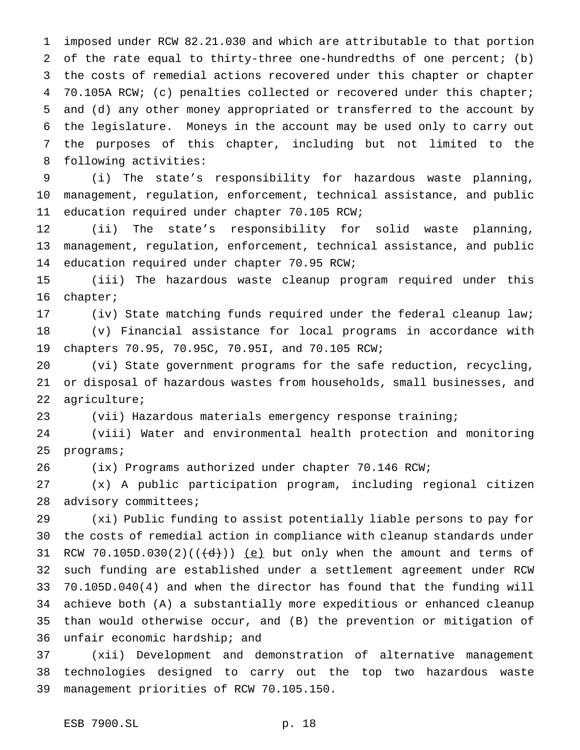imposed under RCW 82.21.030 and which are attributable to that portion of the rate equal to thirty-three one-hundredths of one percent; (b) the costs of remedial actions recovered under this chapter or chapter 70.105A RCW; (c) penalties collected or recovered under this chapter; and (d) any other money appropriated or transferred to the account by the legislature. Moneys in the account may be used only to carry out the purposes of this chapter, including but not limited to the following activities:

 (i) The state's responsibility for hazardous waste planning, management, regulation, enforcement, technical assistance, and public education required under chapter 70.105 RCW;

 (ii) The state's responsibility for solid waste planning, management, regulation, enforcement, technical assistance, and public education required under chapter 70.95 RCW;

 (iii) The hazardous waste cleanup program required under this chapter;

 (iv) State matching funds required under the federal cleanup law; (v) Financial assistance for local programs in accordance with chapters 70.95, 70.95C, 70.95I, and 70.105 RCW;

 (vi) State government programs for the safe reduction, recycling, or disposal of hazardous wastes from households, small businesses, and agriculture;

(vii) Hazardous materials emergency response training;

 (viii) Water and environmental health protection and monitoring programs;

(ix) Programs authorized under chapter 70.146 RCW;

 (x) A public participation program, including regional citizen advisory committees;

 (xi) Public funding to assist potentially liable persons to pay for the costs of remedial action in compliance with cleanup standards under 31 RCW 70.105D.030(2)( $(\overrightarrow{d})$ ) (e) but only when the amount and terms of such funding are established under a settlement agreement under RCW 70.105D.040(4) and when the director has found that the funding will achieve both (A) a substantially more expeditious or enhanced cleanup than would otherwise occur, and (B) the prevention or mitigation of unfair economic hardship; and

 (xii) Development and demonstration of alternative management technologies designed to carry out the top two hazardous waste management priorities of RCW 70.105.150.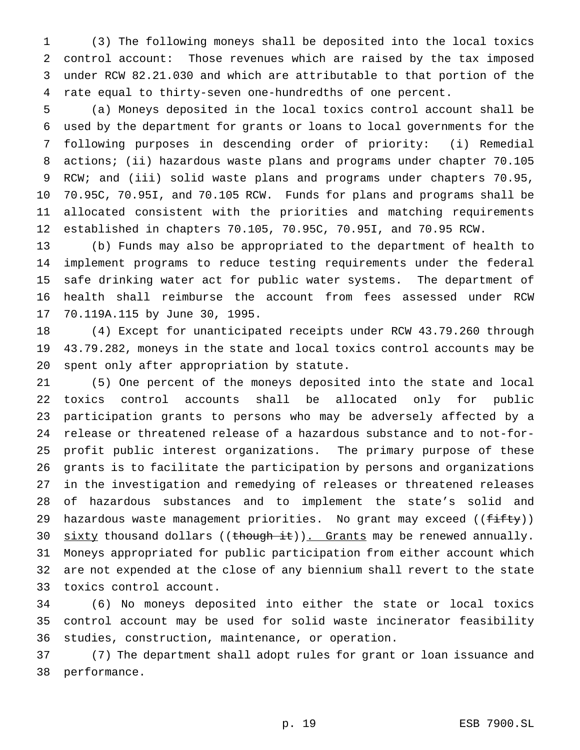(3) The following moneys shall be deposited into the local toxics control account: Those revenues which are raised by the tax imposed under RCW 82.21.030 and which are attributable to that portion of the rate equal to thirty-seven one-hundredths of one percent.

 (a) Moneys deposited in the local toxics control account shall be used by the department for grants or loans to local governments for the following purposes in descending order of priority: (i) Remedial actions; (ii) hazardous waste plans and programs under chapter 70.105 RCW; and (iii) solid waste plans and programs under chapters 70.95, 70.95C, 70.95I, and 70.105 RCW. Funds for plans and programs shall be allocated consistent with the priorities and matching requirements established in chapters 70.105, 70.95C, 70.95I, and 70.95 RCW.

 (b) Funds may also be appropriated to the department of health to implement programs to reduce testing requirements under the federal safe drinking water act for public water systems. The department of health shall reimburse the account from fees assessed under RCW 70.119A.115 by June 30, 1995.

 (4) Except for unanticipated receipts under RCW 43.79.260 through 43.79.282, moneys in the state and local toxics control accounts may be spent only after appropriation by statute.

 (5) One percent of the moneys deposited into the state and local toxics control accounts shall be allocated only for public participation grants to persons who may be adversely affected by a release or threatened release of a hazardous substance and to not-for- profit public interest organizations. The primary purpose of these grants is to facilitate the participation by persons and organizations in the investigation and remedying of releases or threatened releases of hazardous substances and to implement the state's solid and 29 hazardous waste management priorities. No grant may exceed ((fifty)) 30 sixty thousand dollars ((though it)). Grants may be renewed annually. Moneys appropriated for public participation from either account which are not expended at the close of any biennium shall revert to the state toxics control account.

 (6) No moneys deposited into either the state or local toxics control account may be used for solid waste incinerator feasibility studies, construction, maintenance, or operation.

 (7) The department shall adopt rules for grant or loan issuance and performance.